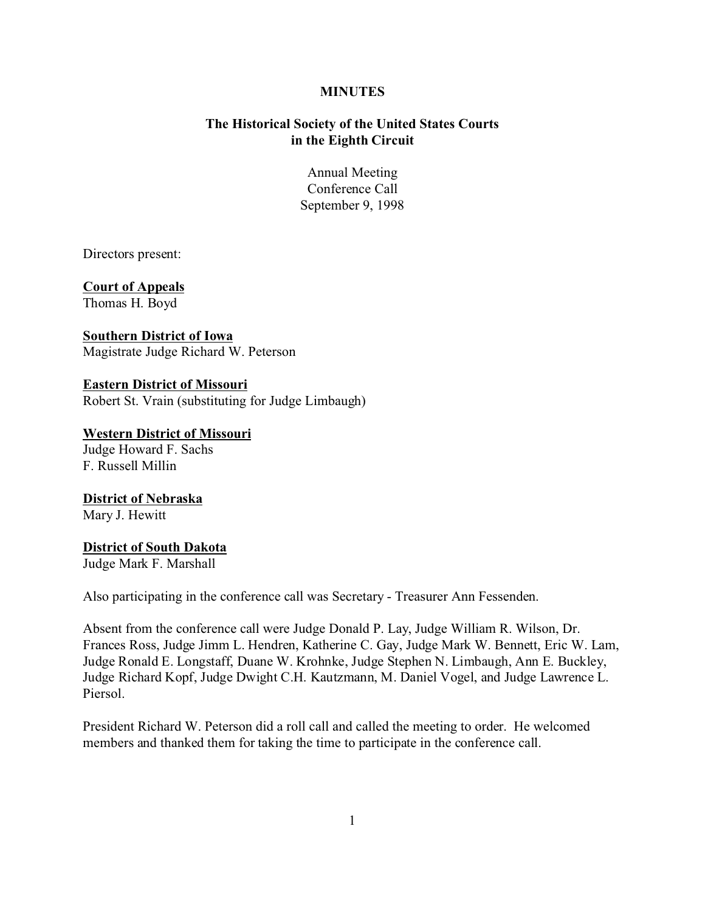### **MINUTES**

# **The Historical Society of the United States Courts in the Eighth Circuit**

Annual Meeting Conference Call September 9, 1998

Directors present:

**Court of Appeals** Thomas H. Boyd

**Southern District of Iowa** Magistrate Judge Richard W. Peterson

**Eastern District of Missouri** Robert St. Vrain (substituting for Judge Limbaugh)

**Western District of Missouri** Judge Howard F. Sachs F. Russell Millin

**District of Nebraska** Mary J. Hewitt

## **District of South Dakota**

Judge Mark F. Marshall

Also participating in the conference call was Secretary - Treasurer Ann Fessenden.

Absent from the conference call were Judge Donald P. Lay, Judge William R. Wilson, Dr. Frances Ross, Judge Jimm L. Hendren, Katherine C. Gay, Judge Mark W. Bennett, Eric W. Lam, Judge Ronald E. Longstaff, Duane W. Krohnke, Judge Stephen N. Limbaugh, Ann E. Buckley, Judge Richard Kopf, Judge Dwight C.H. Kautzmann, M. Daniel Vogel, and Judge Lawrence L. Piersol.

President Richard W. Peterson did a roll call and called the meeting to order. He welcomed members and thanked them for taking the time to participate in the conference call.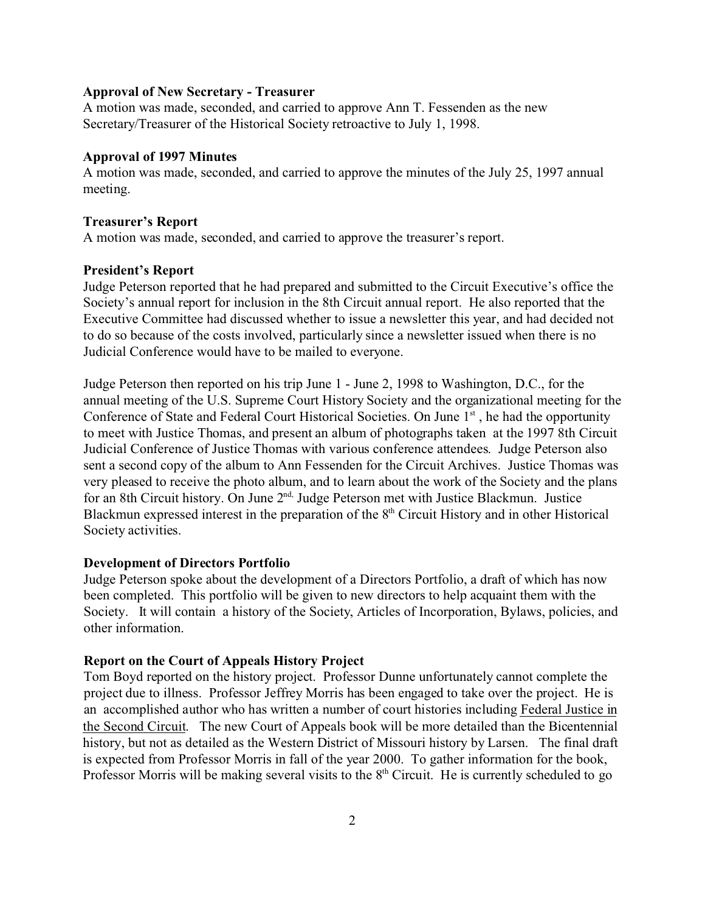#### **Approval of New Secretary - Treasurer**

A motion was made, seconded, and carried to approve Ann T. Fessenden as the new Secretary/Treasurer of the Historical Society retroactive to July 1, 1998.

## **Approval of 1997 Minutes**

A motion was made, seconded, and carried to approve the minutes of the July 25, 1997 annual meeting.

#### **Treasurer's Report**

A motion was made, seconded, and carried to approve the treasurer's report.

#### **President's Report**

Judge Peterson reported that he had prepared and submitted to the Circuit Executive's office the Society's annual report for inclusion in the 8th Circuit annual report. He also reported that the Executive Committee had discussed whether to issue a newsletter this year, and had decided not to do so because of the costs involved, particularly since a newsletter issued when there is no Judicial Conference would have to be mailed to everyone.

Judge Peterson then reported on his trip June 1 - June 2, 1998 to Washington, D.C., for the annual meeting of the U.S. Supreme Court History Society and the organizational meeting for the Conference of State and Federal Court Historical Societies. On June 1<sup>st</sup>, he had the opportunity to meet with Justice Thomas, and present an album of photographs taken at the 1997 8th Circuit Judicial Conference of Justice Thomas with various conference attendees. Judge Peterson also sent a second copy of the album to Ann Fessenden for the Circuit Archives. Justice Thomas was very pleased to receive the photo album, and to learn about the work of the Society and the plans for an 8th Circuit history. On June 2<sup>nd,</sup> Judge Peterson met with Justice Blackmun. Justice Blackmun expressed interest in the preparation of the  $8<sup>th</sup>$  Circuit History and in other Historical Society activities.

## **Development of Directors Portfolio**

Judge Peterson spoke about the development of a Directors Portfolio, a draft of which has now been completed. This portfolio will be given to new directors to help acquaint them with the Society. It will contain a history of the Society, Articles of Incorporation, Bylaws, policies, and other information.

# **Report on the Court of Appeals History Project**

Tom Boyd reported on the history project. Professor Dunne unfortunately cannot complete the project due to illness. Professor Jeffrey Morris has been engaged to take over the project. He is an accomplished author who has written a number of court histories including Federal Justice in the Second Circuit. The new Court of Appeals book will be more detailed than the Bicentennial history, but not as detailed as the Western District of Missouri history by Larsen. The final draft is expected from Professor Morris in fall of the year 2000. To gather information for the book, Professor Morris will be making several visits to the  $8<sup>th</sup>$  Circuit. He is currently scheduled to go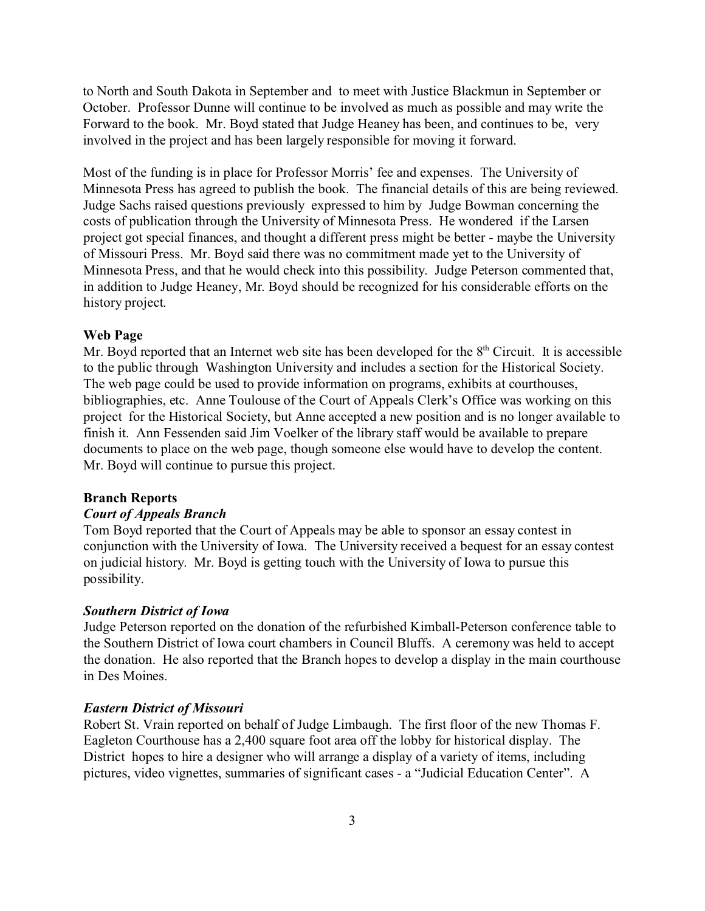to North and South Dakota in September and to meet with Justice Blackmun in September or October. Professor Dunne will continue to be involved as much as possible and may write the Forward to the book. Mr. Boyd stated that Judge Heaney has been, and continues to be, very involved in the project and has been largely responsible for moving it forward.

Most of the funding is in place for Professor Morris' fee and expenses. The University of Minnesota Press has agreed to publish the book. The financial details of this are being reviewed. Judge Sachs raised questions previously expressed to him by Judge Bowman concerning the costs of publication through the University of Minnesota Press. He wondered if the Larsen project got special finances, and thought a different press might be better - maybe the University of Missouri Press. Mr. Boyd said there was no commitment made yet to the University of Minnesota Press, and that he would check into this possibility. Judge Peterson commented that, in addition to Judge Heaney, Mr. Boyd should be recognized for his considerable efforts on the history project.

## **Web Page**

Mr. Boyd reported that an Internet web site has been developed for the  $8<sup>th</sup>$  Circuit. It is accessible to the public through Washington University and includes a section for the Historical Society. The web page could be used to provide information on programs, exhibits at courthouses, bibliographies, etc. Anne Toulouse of the Court of Appeals Clerk's Office was working on this project for the Historical Society, but Anne accepted a new position and is no longer available to finish it. Ann Fessenden said Jim Voelker of the library staff would be available to prepare documents to place on the web page, though someone else would have to develop the content. Mr. Boyd will continue to pursue this project.

#### **Branch Reports**

#### *Court of Appeals Branch*

Tom Boyd reported that the Court of Appeals may be able to sponsor an essay contest in conjunction with the University of Iowa. The University received a bequest for an essay contest on judicial history. Mr. Boyd is getting touch with the University of Iowa to pursue this possibility.

#### *Southern District of Iowa*

Judge Peterson reported on the donation of the refurbished Kimball-Peterson conference table to the Southern District of Iowa court chambers in Council Bluffs. A ceremony was held to accept the donation. He also reported that the Branch hopes to develop a display in the main courthouse in Des Moines.

## *Eastern District of Missouri*

Robert St. Vrain reported on behalf of Judge Limbaugh. The first floor of the new Thomas F. Eagleton Courthouse has a 2,400 square foot area off the lobby for historical display. The District hopes to hire a designer who will arrange a display of a variety of items, including pictures, video vignettes, summaries of significant cases - a "Judicial Education Center". A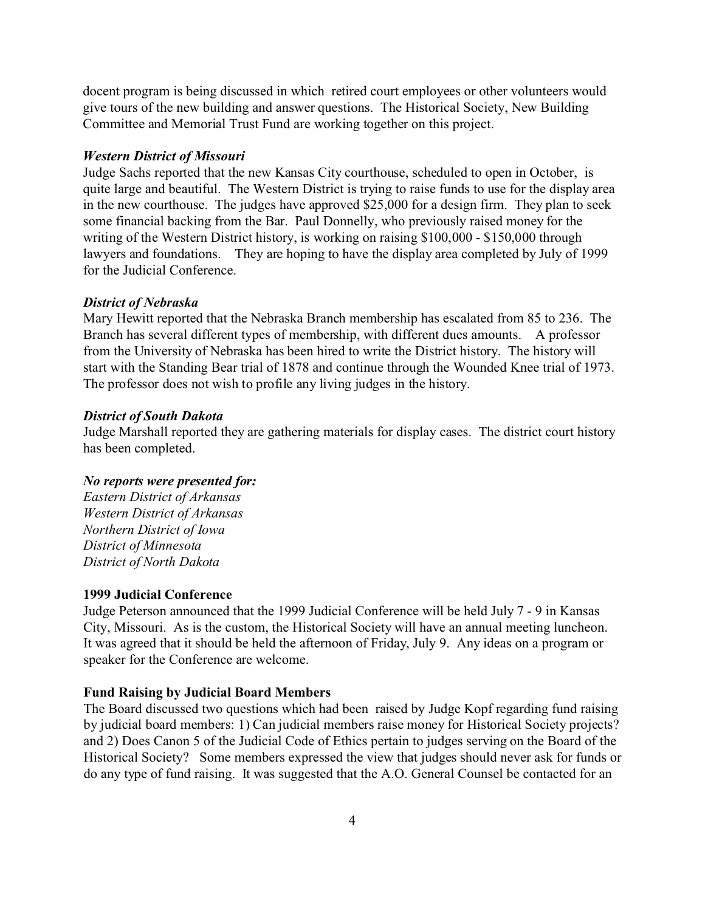docent program is being discussed in which retired court employees or other volunteers would give tours of the new building and answer questions. The Historical Society, New Building Committee and Memorial Trust Fund are working together on this project.

# *Western District of Missouri*

Judge Sachs reported that the new Kansas City courthouse, scheduled to open in October, is quite large and beautiful. The Western District is trying to raise funds to use for the display area in the new courthouse. The judges have approved \$25,000 for a design firm. They plan to seek some financial backing from the Bar. Paul Donnelly, who previously raised money for the writing of the Western District history, is working on raising \$100,000 - \$150,000 through lawyers and foundations. They are hoping to have the display area completed by July of 1999 for the Judicial Conference.

#### *District of Nebraska*

Mary Hewitt reported that the Nebraska Branch membership has escalated from 85 to 236. The Branch has several different types of membership, with different dues amounts. A professor from the University of Nebraska has been hired to write the District history. The history will start with the Standing Bear trial of 1878 and continue through the Wounded Knee trial of 1973. The professor does not wish to profile any living judges in the history.

#### *District of South Dakota*

Judge Marshall reported they are gathering materials for display cases. The district court history has been completed.

## *No reports were presented for:*

*Eastern District of Arkansas Western District of Arkansas Northern District of Iowa District of Minnesota District of North Dakota*

## **1999 Judicial Conference**

Judge Peterson announced that the 1999 Judicial Conference will be held July 7 - 9 in Kansas City, Missouri. As is the custom, the Historical Society will have an annual meeting luncheon. It was agreed that it should be held the afternoon of Friday, July 9. Any ideas on a program or speaker for the Conference are welcome.

## **Fund Raising by Judicial Board Members**

The Board discussed two questions which had been raised by Judge Kopf regarding fund raising by judicial board members: 1) Can judicial members raise money for Historical Society projects? and 2) Does Canon 5 of the Judicial Code of Ethics pertain to judges serving on the Board of the Historical Society? Some members expressed the view that judges should never ask for funds or do any type of fund raising. It was suggested that the A.O. General Counsel be contacted for an